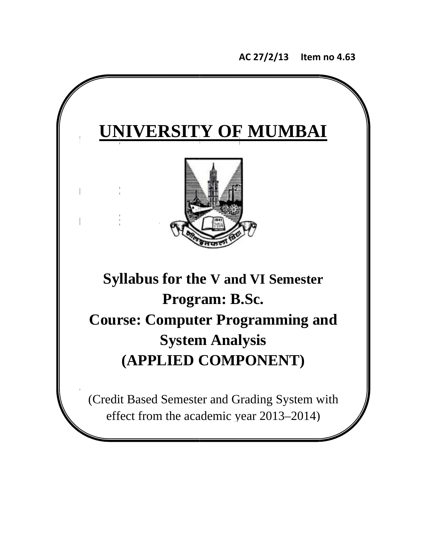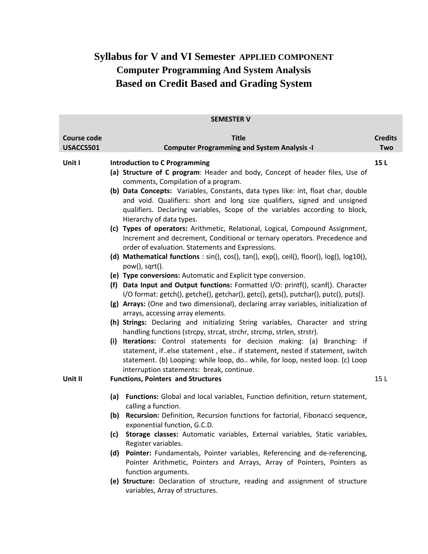# **Syllabus for V and VI Semester APPLIED COMPONENT Computer Programming And System Analysis Based on Credit Based and Grading System**

|                                 | <b>SEMESTER V</b>                                                                                                                                                                                                                                                                                                                                                                                                                                                                                                                                                                                                                                                                                                                                                                                                                                                                                                                                                                                                                                                                                                                                                                                                                                                                                                                                                                                                                                                                                                                                            |                              |
|---------------------------------|--------------------------------------------------------------------------------------------------------------------------------------------------------------------------------------------------------------------------------------------------------------------------------------------------------------------------------------------------------------------------------------------------------------------------------------------------------------------------------------------------------------------------------------------------------------------------------------------------------------------------------------------------------------------------------------------------------------------------------------------------------------------------------------------------------------------------------------------------------------------------------------------------------------------------------------------------------------------------------------------------------------------------------------------------------------------------------------------------------------------------------------------------------------------------------------------------------------------------------------------------------------------------------------------------------------------------------------------------------------------------------------------------------------------------------------------------------------------------------------------------------------------------------------------------------------|------------------------------|
| <b>Course code</b><br>USACCS501 | <b>Title</b><br><b>Computer Programming and System Analysis -I</b>                                                                                                                                                                                                                                                                                                                                                                                                                                                                                                                                                                                                                                                                                                                                                                                                                                                                                                                                                                                                                                                                                                                                                                                                                                                                                                                                                                                                                                                                                           | <b>Credits</b><br><b>Two</b> |
| Unit I                          | <b>Introduction to C Programming</b><br>(a) Structure of C program: Header and body, Concept of header files, Use of<br>comments, Compilation of a program.<br>(b) Data Concepts: Variables, Constants, data types like: int, float char, double<br>and void. Qualifiers: short and long size qualifiers, signed and unsigned<br>qualifiers. Declaring variables, Scope of the variables according to block,<br>Hierarchy of data types.<br>(c) Types of operators: Arithmetic, Relational, Logical, Compound Assignment,<br>Increment and decrement, Conditional or ternary operators. Precedence and<br>order of evaluation. Statements and Expressions.<br>(d) Mathematical functions : sin(), cos(), tan(), exp(), ceil(), floor(), log(), log10(),<br>$pow(), sqrt()$ .<br>(e) Type conversions: Automatic and Explicit type conversion.<br>(f) Data Input and Output functions: Formatted I/O: printf(), scanf(). Character<br>I/O format: getch(), getche(), getchar(), getc(), gets(), putchar(), putc(), puts().<br>(g) Arrays: (One and two dimensional), declaring array variables, initialization of<br>arrays, accessing array elements.<br>(h) Strings: Declaring and initializing String variables, Character and string<br>handling functions (strcpy, strcat, strchr, strcmp, strlen, strstr).<br>(i) Iterations: Control statements for decision making: (a) Branching: if<br>statement, ifelse statement, else if statement, nested if statement, switch<br>statement. (b) Looping: while loop, do while, for loop, nested loop. (c) Loop | 15L                          |
| Unit II                         | interruption statements: break, continue.<br><b>Functions, Pointers and Structures</b>                                                                                                                                                                                                                                                                                                                                                                                                                                                                                                                                                                                                                                                                                                                                                                                                                                                                                                                                                                                                                                                                                                                                                                                                                                                                                                                                                                                                                                                                       | 15L                          |
|                                 | (a) Functions: Global and local variables, Function definition, return statement,<br>calling a function.                                                                                                                                                                                                                                                                                                                                                                                                                                                                                                                                                                                                                                                                                                                                                                                                                                                                                                                                                                                                                                                                                                                                                                                                                                                                                                                                                                                                                                                     |                              |
|                                 | Recursion: Definition, Recursion functions for factorial, Fibonacci sequence,<br>(b)<br>exponential function, G.C.D.                                                                                                                                                                                                                                                                                                                                                                                                                                                                                                                                                                                                                                                                                                                                                                                                                                                                                                                                                                                                                                                                                                                                                                                                                                                                                                                                                                                                                                         |                              |
|                                 | Storage classes: Automatic variables, External variables, Static variables,<br>(c)<br>Register variables.                                                                                                                                                                                                                                                                                                                                                                                                                                                                                                                                                                                                                                                                                                                                                                                                                                                                                                                                                                                                                                                                                                                                                                                                                                                                                                                                                                                                                                                    |                              |
|                                 | Pointer: Fundamentals, Pointer variables, Referencing and de-referencing,<br>(d)<br>Pointer Arithmetic, Pointers and Arrays, Array of Pointers, Pointers as<br>function arguments.                                                                                                                                                                                                                                                                                                                                                                                                                                                                                                                                                                                                                                                                                                                                                                                                                                                                                                                                                                                                                                                                                                                                                                                                                                                                                                                                                                           |                              |
|                                 | (e) Structure: Declaration of structure, reading and assignment of structure<br>variables, Array of structures.                                                                                                                                                                                                                                                                                                                                                                                                                                                                                                                                                                                                                                                                                                                                                                                                                                                                                                                                                                                                                                                                                                                                                                                                                                                                                                                                                                                                                                              |                              |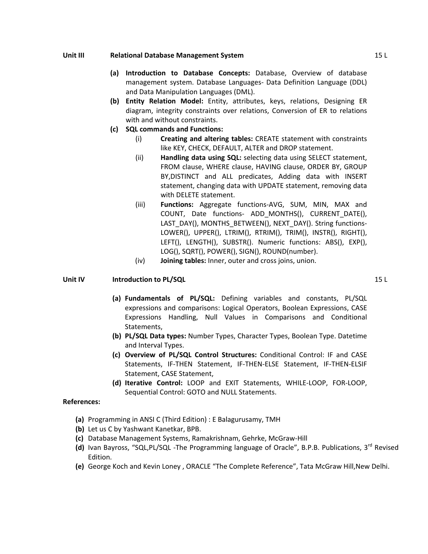#### **Unit III Relational Database Management System**

- **(a) Introduction to Database Concepts:** Database, Overview of database management system. Database Languages‐ Data Definition Language (DDL) and Data Manipulation Languages (DML).
- **(b) Entity Relation Model:** Entity, attributes, keys, relations, Designing ER diagram, integrity constraints over relations, Conversion of ER to relations with and without constraints.
- **(c) SQL commands and Functions:**
	- (i) **Creating and altering tables:** CREATE statement with constraints like KEY, CHECK, DEFAULT, ALTER and DROP statement.
	- (ii) **Handling data using SQL:** selecting data using SELECT statement, FROM clause, WHERE clause, HAVING clause, ORDER BY, GROUP BY,DISTINCT and ALL predicates, Adding data with INSERT statement, changing data with UPDATE statement, removing data with DELETE statement.
	- (iii) **Functions:** Aggregate functions‐AVG, SUM, MIN, MAX and COUNT, Date functions‐ ADD\_MONTHS(), CURRENT\_DATE(), LAST\_DAY(), MONTHS\_BETWEEN(), NEXT\_DAY(). String functions-LOWER(), UPPER(), LTRIM(), RTRIM(), TRIM(), INSTR(), RIGHT(), LEFT(), LENGTH(), SUBSTR(). Numeric functions: ABS(), EXP(), LOG(), SQRT(), POWER(), SIGN(), ROUND(number).
	- (iv) **Joining tables:** Inner, outer and cross joins, union.

#### **Unit IV Introduction to PL/SQL**

- **(a) Fundamentals of PL/SQL:** Defining variables and constants, PL/SQL expressions and comparisons: Logical Operators, Boolean Expressions, CASE Expressions Handling, Null Values in Comparisons and Conditional Statements,
- **(b) PL/SQL Data types:** Number Types, Character Types, Boolean Type. Datetime and Interval Types.
- **(c) Overview of PL/SQL Control Structures:** Conditional Control: IF and CASE Statements, IF‐THEN Statement, IF‐THEN‐ELSE Statement, IF‐THEN‐ELSIF Statement, CASE Statement,
- **(d) Iterative Control:** LOOP and EXIT Statements, WHILE‐LOOP, FOR‐LOOP, Sequential Control: GOTO and NULL Statements.

#### **References:**

- **(a)** Programming in ANSI C (Third Edition) : E Balagurusamy, TMH
- **(b)** Let us C by Yashwant Kanetkar, BPB.
- **(c)** Database Management Systems, Ramakrishnam, Gehrke, McGraw‐Hill
- **(d)** Ivan Bayross, "SQL,PL/SQL ‐The Programming language of Oracle", B.P.B. Publications, 3rd Revised Edition.
- **(e)** George Koch and Kevin Loney , ORACLE "The Complete Reference", Tata McGraw Hill,New Delhi.

15 L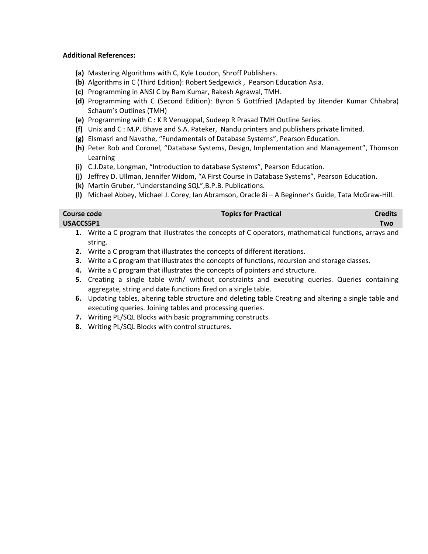## **Additional References:**

- **(a)** Mastering Algorithms with C, Kyle Loudon, Shroff Publishers.
- **(b)** Algorithms in C (Third Edition): Robert Sedgewick , Pearson Education Asia.
- **(c)** Programming in ANSI C by Ram Kumar, Rakesh Agrawal, TMH.
- **(d)** Programming with C (Second Edition): Byron S Gottfried (Adapted by Jitender Kumar Chhabra) Schaum's Outlines (TMH)
- **(e)** Programming with C : K R Venugopal, Sudeep R Prasad TMH Outline Series.
- **(f)** Unix and C : M.P. Bhave and S.A. Pateker, Nandu printers and publishers private limited.
- **(g)** Elsmasri and Navathe, "Fundamentals of Database Systems", Pearson Education.
- **(h)** Peter Rob and Coronel, "Database Systems, Design, Implementation and Management", Thomson Learning
- **(i)** C.J.Date, Longman, "Introduction to database Systems", Pearson Education.
- **(j)** Jeffrey D. Ullman, Jennifer Widom, "A First Course in Database Systems", Pearson Education.
- **(k)** Martin Gruber, "Understanding SQL",B.P.B. Publications.
- **(l)** Michael Abbey, Michael J. Corey, Ian Abramson, Oracle 8i A Beginner's Guide, Tata McGraw‐Hill.

| Course code |  |  | <b>Topics for Practical</b> |  |  |  | <b>Credits</b> |  |            |
|-------------|--|--|-----------------------------|--|--|--|----------------|--|------------|
| USACCS5P1   |  |  |                             |  |  |  |                |  | <b>Two</b> |
|             |  |  | $\sim$                      |  |  |  |                |  |            |

- **1.** Write a C program that illustrates the concepts of C operators, mathematical functions, arrays and string.
- **2.** Write a C program that illustrates the concepts of different iterations.
- **3.** Write a C program that illustrates the concepts of functions, recursion and storage classes.
- **4.** Write a C program that illustrates the concepts of pointers and structure.
- **5.** Creating a single table with/ without constraints and executing queries. Queries containing aggregate, string and date functions fired on a single table.
- **6.** Updating tables, altering table structure and deleting table Creating and altering a single table and executing queries. Joining tables and processing queries.
- **7.** Writing PL/SQL Blocks with basic programming constructs.
- **8.** Writing PL/SQL Blocks with control structures.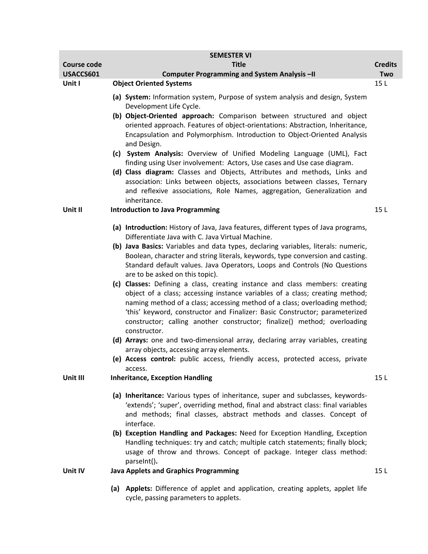| <b>SEMESTER VI</b> |                                                                                                                                                                                                                                                          |                 |  |  |  |
|--------------------|----------------------------------------------------------------------------------------------------------------------------------------------------------------------------------------------------------------------------------------------------------|-----------------|--|--|--|
| <b>Course code</b> | <b>Title</b>                                                                                                                                                                                                                                             | <b>Credits</b>  |  |  |  |
| USACCS601          | Computer Programming and System Analysis-II                                                                                                                                                                                                              | Two             |  |  |  |
| Unit I             | <b>Object Oriented Systems</b>                                                                                                                                                                                                                           | 15L             |  |  |  |
|                    | (a) System: Information system, Purpose of system analysis and design, System<br>Development Life Cycle.                                                                                                                                                 |                 |  |  |  |
|                    | (b) Object-Oriented approach: Comparison between structured and object<br>oriented approach. Features of object-orientations: Abstraction, Inheritance,                                                                                                  |                 |  |  |  |
|                    | Encapsulation and Polymorphism. Introduction to Object-Oriented Analysis<br>and Design.                                                                                                                                                                  |                 |  |  |  |
|                    | (c) System Analysis: Overview of Unified Modeling Language (UML), Fact<br>finding using User involvement: Actors, Use cases and Use case diagram.                                                                                                        |                 |  |  |  |
|                    | (d) Class diagram: Classes and Objects, Attributes and methods, Links and<br>association: Links between objects, associations between classes, Ternary<br>and reflexive associations, Role Names, aggregation, Generalization and                        |                 |  |  |  |
| Unit II            | inheritance.<br><b>Introduction to Java Programming</b>                                                                                                                                                                                                  | 15L             |  |  |  |
|                    |                                                                                                                                                                                                                                                          |                 |  |  |  |
|                    | (a) Introduction: History of Java, Java features, different types of Java programs,<br>Differentiate Java with C. Java Virtual Machine.                                                                                                                  |                 |  |  |  |
|                    | (b) Java Basics: Variables and data types, declaring variables, literals: numeric,                                                                                                                                                                       |                 |  |  |  |
|                    | Boolean, character and string literals, keywords, type conversion and casting.<br>Standard default values. Java Operators, Loops and Controls (No Questions                                                                                              |                 |  |  |  |
|                    | are to be asked on this topic).                                                                                                                                                                                                                          |                 |  |  |  |
|                    | (c) Classes: Defining a class, creating instance and class members: creating<br>object of a class; accessing instance variables of a class; creating method;<br>naming method of a class; accessing method of a class; overloading method;               |                 |  |  |  |
|                    | 'this' keyword, constructor and Finalizer: Basic Constructor; parameterized<br>constructor; calling another constructor; finalize() method; overloading<br>constructor.                                                                                  |                 |  |  |  |
|                    | (d) Arrays: one and two-dimensional array, declaring array variables, creating<br>array objects, accessing array elements.                                                                                                                               |                 |  |  |  |
|                    | (e) Access control: public access, friendly access, protected access, private<br>access.                                                                                                                                                                 |                 |  |  |  |
| Unit III           | <b>Inheritance, Exception Handling</b>                                                                                                                                                                                                                   | 15L             |  |  |  |
|                    | (a) Inheritance: Various types of inheritance, super and subclasses, keywords-<br>'extends'; 'super', overriding method, final and abstract class: final variables<br>and methods; final classes, abstract methods and classes. Concept of<br>interface. |                 |  |  |  |
|                    | (b) Exception Handling and Packages: Need for Exception Handling, Exception<br>Handling techniques: try and catch; multiple catch statements; finally block;<br>usage of throw and throws. Concept of package. Integer class method:<br>parselnt().      |                 |  |  |  |
| Unit IV            | <b>Java Applets and Graphics Programming</b>                                                                                                                                                                                                             | 15 <sub>L</sub> |  |  |  |
|                    | (a) Applets: Difference of applet and application, creating applets, applet life<br>cycle, passing parameters to applets.                                                                                                                                |                 |  |  |  |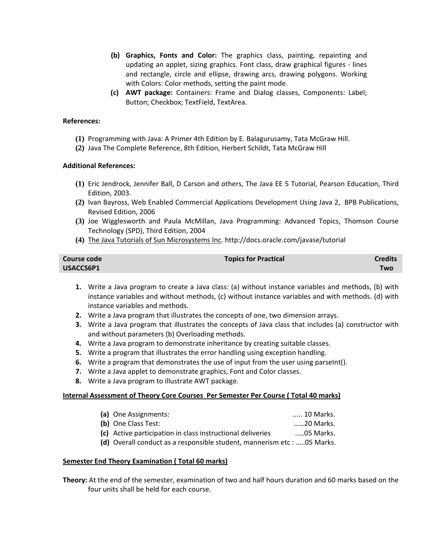- **(b) Graphics, Fonts and Color:** The graphics class, painting, repainting and updating an applet, sizing graphics. Font class, draw graphical figures ‐ lines and rectangle, circle and ellipse, drawing arcs, drawing polygons. Working with Colors: Color methods, setting the paint mode.
- **(c) AWT package:** Containers: Frame and Dialog classes, Components: Label; Button; Checkbox; TextField, TextArea.

## **References:**

- **(1)** Programming with Java: A Primer 4th Edition by E. Balagurusamy, Tata McGraw Hill.
- **(2)** Java The Complete Reference, 8th Edition, Herbert Schildt, Tata McGraw Hill

#### **Additional References:**

- **(1)** Eric Jendrock, Jennifer Ball, D Carson and others, The Java EE 5 Tutorial, Pearson Education, Third Edition, 2003.
- **(2)** Ivan Bayross, Web Enabled Commercial Applications Development Using Java 2, BPB Publications, Revised Edition, 2006
- **(3)** Joe Wigglesworth and Paula McMillan, Java Programming: Advanced Topics, Thomson Course Technology (SPD), Third Edition, 2004
- **(4)** The Java Tutorials of Sun Microsystems Inc. http://docs.oracle.com/javase/tutorial

| Course code | <b>Topics for Practical</b> | <b>Credits</b> |
|-------------|-----------------------------|----------------|
| USACCS6P1   |                             | <b>Two</b>     |

- **1.** Write a Java program to create a Java class: (a) without instance variables and methods, (b) with instance variables and without methods, (c) without instance variables and with methods. (d) with instance variables and methods.
- **2.** Write a Java program that illustrates the concepts of one, two dimension arrays.
- **3.** Write a Java program that illustrates the concepts of Java class that includes (a) constructor with and without parameters (b) Overloading methods.
- **4.** Write a Java program to demonstrate inheritance by creating suitable classes.
- **5.** Write a program that illustrates the error handling using exception handling.
- **6.** Write a program that demonstrates the use of input from the user using parseInt().
- **7.** Write a Java applet to demonstrate graphics, Font and Color classes.
- **8.** Write a Java program to illustrate AWT package.

#### **Internal Assessment of Theory Core Courses Per Semester Per Course ( Total 40 marks)**

| (a) One Assignments:                                       | 10 Marks. |
|------------------------------------------------------------|-----------|
| (b) One Class Test:                                        | 20 Marks. |
| (c) Active participation in class instructional deliveries | 05 Marks. |
|                                                            |           |

**(d)** Overall conduct as a responsible student, mannerism etc : …..05 Marks.

#### **Semester End Theory Examination ( Total 60 marks)**

**Theory:** At the end of the semester, examination of two and half hours duration and 60 marks based on the four units shall be held for each course.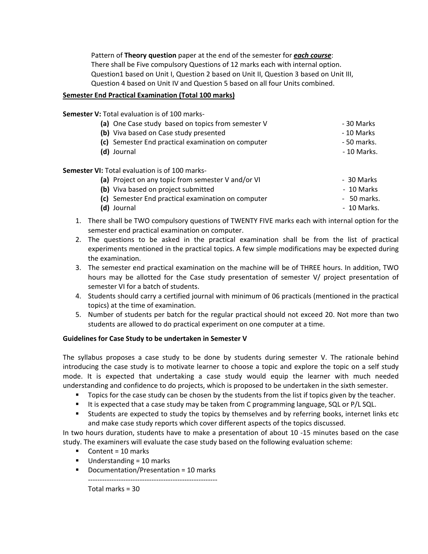Pattern of **Theory question** paper at the end of the semester for *each course*: There shall be Five compulsory Questions of 12 marks each with internal option. Question1 based on Unit I, Question 2 based on Unit II, Question 3 based on Unit III, Question 4 based on Unit IV and Question 5 based on all four Units combined.

# **Semester End Practical Examination (Total 100 marks)**

**Semester V:** Total evaluation is of 100 marks‐

| (a) One Case study based on topics from semester V | - 30 Marks  |
|----------------------------------------------------|-------------|
| (b) Viva based on Case study presented             | - 10 Marks  |
| (c) Semester End practical examination on computer | - 50 marks. |
| (d) Journal                                        | - 10 Marks. |
| Semester VI: Total evaluation is of 100 marks-     |             |

**(a)** Project on any topic from semester V and/or VI ‐ 30 Marks

| (b) Viva based on project submitted                | - 10 Marks  |
|----------------------------------------------------|-------------|
| (c) Semester End practical examination on computer | - 50 marks. |
| (d) Journal                                        | - 10 Marks. |

- 1. There shall be TWO compulsory questions of TWENTY FIVE marks each with internal option for the semester end practical examination on computer.
- 2. The questions to be asked in the practical examination shall be from the list of practical experiments mentioned in the practical topics. A few simple modifications may be expected during the examination.
- 3. The semester end practical examination on the machine will be of THREE hours. In addition, TWO hours may be allotted for the Case study presentation of semester V/ project presentation of semester VI for a batch of students.
- 4. Students should carry a certified journal with minimum of 06 practicals (mentioned in the practical topics) at the time of examination.
- 5. Number of students per batch for the regular practical should not exceed 20. Not more than two students are allowed to do practical experiment on one computer at a time.

# **Guidelines for Case Study to be undertaken in Semester V**

The syllabus proposes a case study to be done by students during semester V. The rationale behind introducing the case study is to motivate learner to choose a topic and explore the topic on a self study mode. It is expected that undertaking a case study would equip the learner with much needed understanding and confidence to do projects, which is proposed to be undertaken in the sixth semester.

- **T** Topics for the case study can be chosen by the students from the list if topics given by the teacher.
- It is expected that a case study may be taken from C programming language, SQL or P/L SQL.
- Students are expected to study the topics by themselves and by referring books, internet links etc and make case study reports which cover different aspects of the topics discussed.

In two hours duration, students have to make a presentation of about 10 ‐15 minutes based on the case study. The examiners will evaluate the case study based on the following evaluation scheme:

- $\blacksquare$  Content = 10 marks
- Understanding = 10 marks
- Documentation/Presentation = 10 marks

Total marks = 30